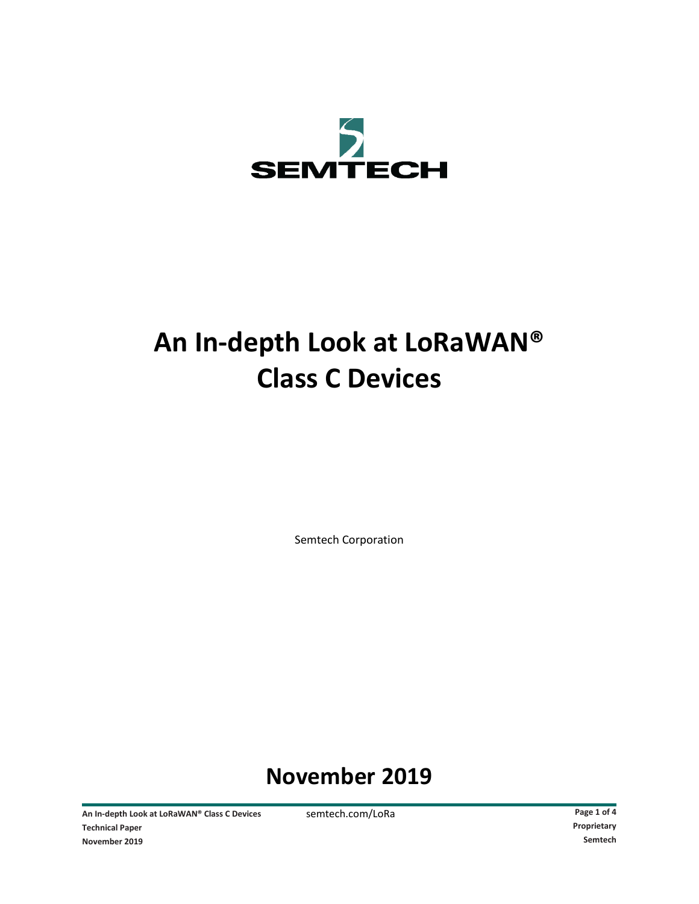

# **An In-depth Look at LoRaWAN® Class C Devices**

Semtech Corporation

# **November 2019**

An In-depth Look at LoRaWAN® Class C Devices semtech.com/LoRa **Page 1** of 4 **Technical Paper Proprietary November 2019 Semtech**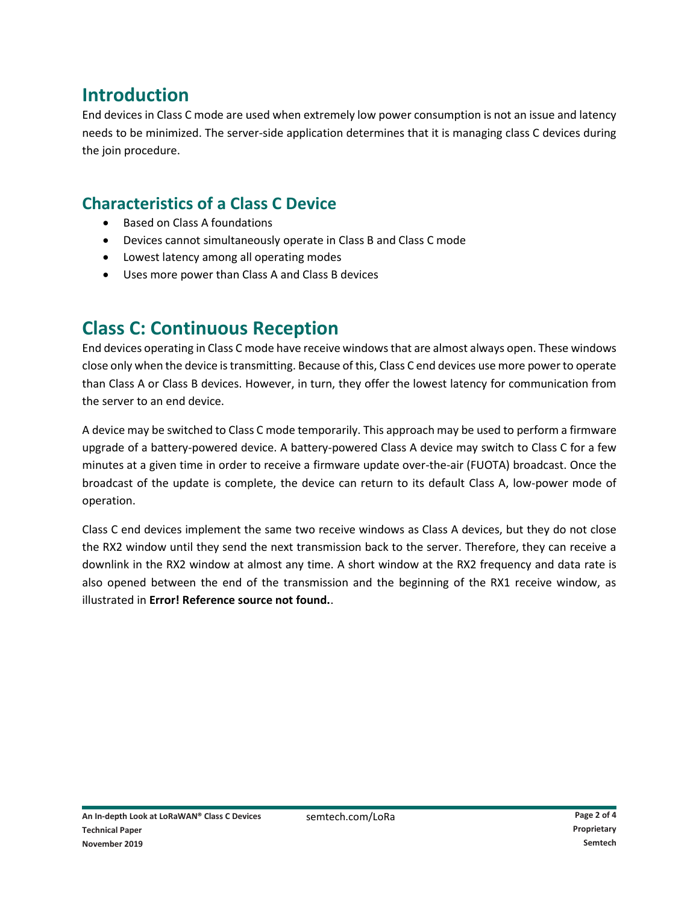# **Introduction**

End devices in Class C mode are used when extremely low power consumption is not an issue and latency needs to be minimized. The server-side application determines that it is managing class C devices during the join procedure.

### **Characteristics of a Class C Device**

- Based on Class A foundations
- Devices cannot simultaneously operate in Class B and Class C mode
- Lowest latency among all operating modes
- Uses more power than Class A and Class B devices

# **Class C: Continuous Reception**

End devices operating in Class C mode have receive windows that are almost always open. These windows close only when the device is transmitting. Because of this, Class C end devices use more power to operate than Class A or Class B devices. However, in turn, they offer the lowest latency for communication from the server to an end device.

A device may be switched to Class C mode temporarily. This approach may be used to perform a firmware upgrade of a battery-powered device. A battery-powered Class A device may switch to Class C for a few minutes at a given time in order to receive a firmware update over-the-air (FUOTA) broadcast. Once the broadcast of the update is complete, the device can return to its default Class A, low-power mode of operation.

Class C end devices implement the same two receive windows as Class A devices, but they do not close the RX2 window until they send the next transmission back to the server. Therefore, they can receive a downlink in the RX2 window at almost any time. A short window at the RX2 frequency and data rate is also opened between the end of the transmission and the beginning of the RX1 receive window, as illustrated in **Error! Reference source not found.**.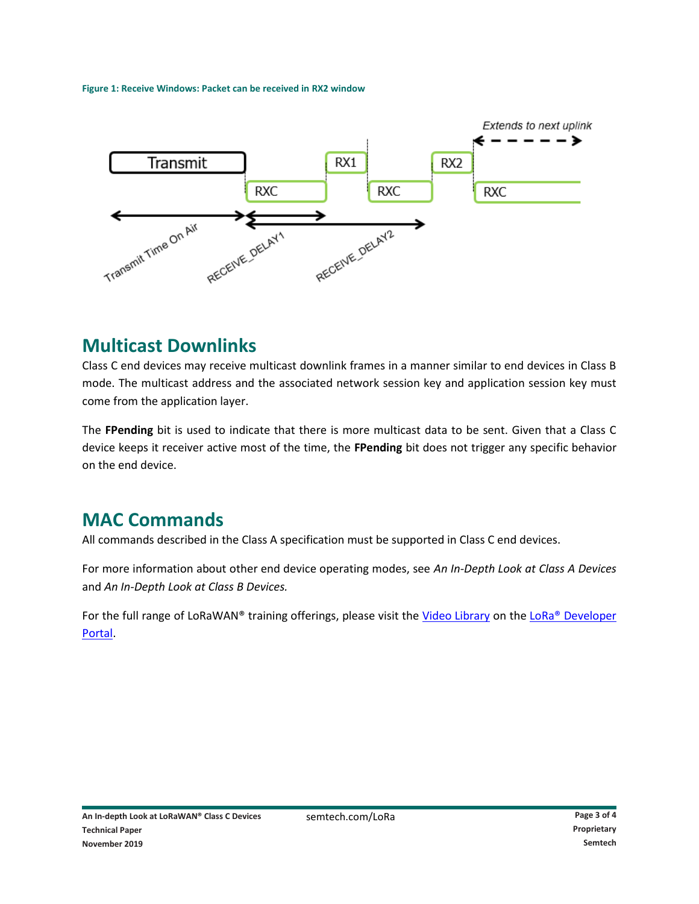#### **Figure 1: Receive Windows: Packet can be received in RX2 window**



### **Multicast Downlinks**

Class C end devices may receive multicast downlink frames in a manner similar to end devices in Class B mode. The multicast address and the associated network session key and application session key must come from the application layer.

The **FPending** bit is used to indicate that there is more multicast data to be sent. Given that a Class C device keeps it receiver active most of the time, the **FPending** bit does not trigger any specific behavior on the end device.

## **MAC Commands**

All commands described in the Class A specification must be supported in Class C end devices.

For more information about other end device operating modes, see *An In-Depth Look at Class A Devices* and *An In-Depth Look at Class B Devices.*

For the full range of LoRaWAN® training offerings, please visit the [Video Library](https://lora-developers.semtech.com/library/videos/) on the LoRa® Developer [Portal.](https://lora-developers.semtech.com/library/videos/)